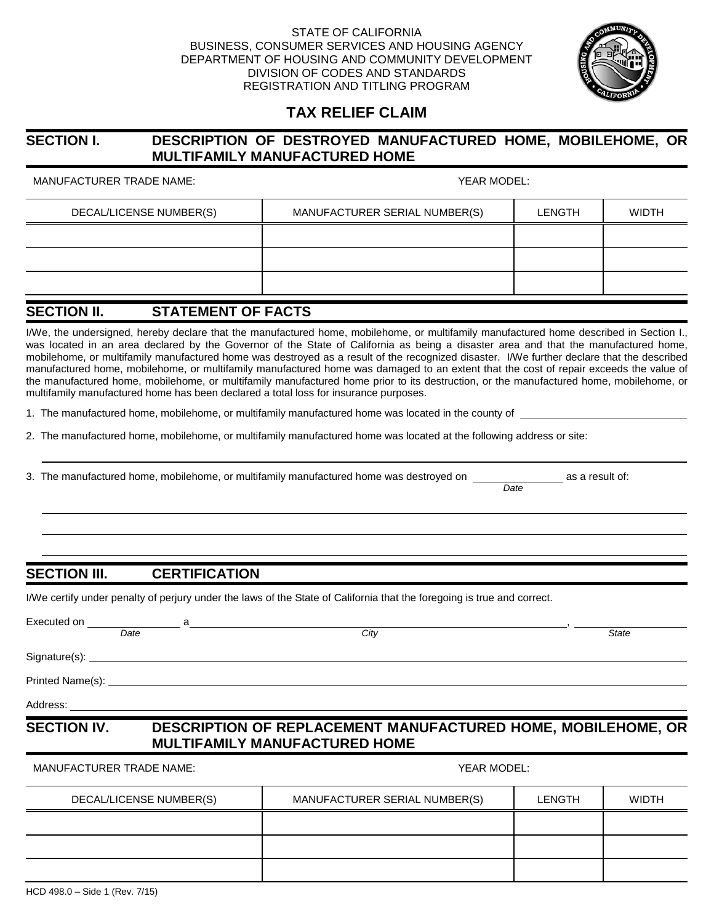#### STATE OF CALIFORNIA BUSINESS, CONSUMER SERVICES AND HOUSING AGENCY DEPARTMENT OF HOUSING AND COMMUNITY DEVELOPMENT DIVISION OF CODES AND STANDARDS REGISTRATION AND TITLING PROGRAM



### **TAX RELIEF CLAIM**

#### **SECTION I. DESCRIPTION OF DESTROYED MANUFACTURED HOME, MOBILEHOME, OR MULTIFAMILY MANUFACTURED HOME**

MANUFACTURER TRADE NAME: YEAR MODEL:

| DECAL/LICENSE NUMBER(S) | MANUFACTURER SERIAL NUMBER(S) | <b>LENGTH</b> | WIDTH |
|-------------------------|-------------------------------|---------------|-------|
|                         |                               |               |       |
|                         |                               |               |       |
|                         |                               |               |       |

### **SECTION II. STATEMENT OF FACTS**

I/We, the undersigned, hereby declare that the manufactured home, mobilehome, or multifamily manufactured home described in Section I., was located in an area declared by the Governor of the State of California as being a disaster area and that the manufactured home, mobilehome, or multifamily manufactured home was destroyed as a result of the recognized disaster. I/We further declare that the described manufactured home, mobilehome, or multifamily manufactured home was damaged to an extent that the cost of repair exceeds the value of the manufactured home, mobilehome, or multifamily manufactured home prior to its destruction, or the manufactured home, mobilehome, or multifamily manufactured home has been declared a total loss for insurance purposes.

1. The manufactured home, mobilehome, or multifamily manufactured home was located in the county of

2. The manufactured home, mobilehome, or multifamily manufactured home was located at the following address or site:

3. The manufactured home, mobilehome, or multifamily manufactured home was destroyed on as a result of:

#### **SECTION III. CERTIFICATION**

I/We certify under penalty of perjury under the laws of the State of California that the foregoing is true and correct.

|                                 | Date | City                                                                                                        |        | <b>State</b> |
|---------------------------------|------|-------------------------------------------------------------------------------------------------------------|--------|--------------|
|                                 |      |                                                                                                             |        |              |
|                                 |      |                                                                                                             |        |              |
|                                 |      |                                                                                                             |        |              |
| <b>SECTION IV.</b>              |      | <b>DESCRIPTION OF REPLACEMENT MANUFACTURED HOME, MOBILEHOME, OR</b><br><b>MULTIFAMILY MANUFACTURED HOME</b> |        |              |
| <b>MANUFACTURER TRADE NAME:</b> |      | YEAR MODEL:                                                                                                 |        |              |
| DECAL/LICENSE NUMBER(S)         |      | MANUFACTURER SERIAL NUMBER(S)                                                                               | LENGTH | <b>WIDTH</b> |

 *Date*